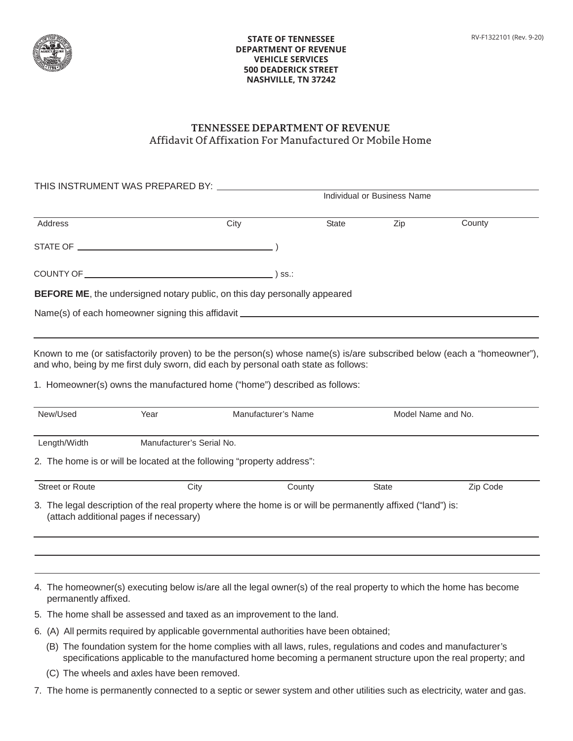

## **STATE OF TENNESSEE DEPARTMENT OF REVENUE VEHICLE SERVICES 500 DEADERICK STREET NASHVILLE, TN 37242**

## **TENNESSEE DEPARTMENT OF REVENUE** Affidavit Of Affixation For Manufactured Or Mobile Home

| THIS INSTRUMENT WAS PREPARED BY: \\connect_{\]                                    |      | Individual or Business Name |     |        |  |
|-----------------------------------------------------------------------------------|------|-----------------------------|-----|--------|--|
| Address                                                                           | City | State                       | Zip | County |  |
|                                                                                   |      |                             |     |        |  |
|                                                                                   |      | SS.:                        |     |        |  |
| <b>BEFORE ME</b> , the undersigned notary public, on this day personally appeared |      |                             |     |        |  |
| Name(s) of each homeowner signing this affidavit _______________________________  |      |                             |     |        |  |

Known to me (or satisfactorily proven) to be the person(s) whose name(s) is/are subscribed below (each a "homeowner"), and who, being by me first duly sworn, did each by personal oath state as follows:

1. Homeowner(s) owns the manufactured home ("home") described as follows:

| New/Used                                                               | Year                                   | Manufacturer's Name                                                                                         |              | Model Name and No. |  |
|------------------------------------------------------------------------|----------------------------------------|-------------------------------------------------------------------------------------------------------------|--------------|--------------------|--|
| Length/Width                                                           | Manufacturer's Serial No.              |                                                                                                             |              |                    |  |
| 2. The home is or will be located at the following "property address": |                                        |                                                                                                             |              |                    |  |
| <b>Street or Route</b>                                                 | City                                   | County                                                                                                      | <b>State</b> | Zip Code           |  |
|                                                                        | (attach additional pages if necessary) | 3. The legal description of the real property where the home is or will be permanently affixed ("land") is: |              |                    |  |

4. The homeowner(s) executing below is/are all the legal owner(s) of the real property to which the home has become permanently affixed.

- 5. The home shall be assessed and taxed as an improvement to the land.
- 6. (A) All permits required by applicable governmental authorities have been obtained;
	- (B) The foundation system for the home complies with all laws, rules, regulations and codes and manufacturer's specifications applicable to the manufactured home becoming a permanent structure upon the real property; and
	- (C) The wheels and axles have been removed.
- 7. The home is permanently connected to a septic or sewer system and other utilities such as electricity, water and gas.